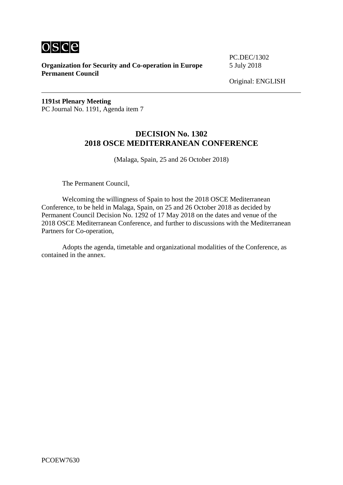

**Organization for Security and Co-operation in Europe** 5 July 2018 **Permanent Council**

PC.DEC/1302

**1191st Plenary Meeting** PC Journal No. 1191, Agenda item 7

## **DECISION No. 1302 2018 OSCE MEDITERRANEAN CONFERENCE**

(Malaga, Spain, 25 and 26 October 2018)

The Permanent Council,

Welcoming the willingness of Spain to host the 2018 OSCE Mediterranean Conference, to be held in Malaga, Spain, on 25 and 26 October 2018 as decided by Permanent Council Decision No. 1292 of 17 May 2018 on the dates and venue of the 2018 OSCE Mediterranean Conference, and further to discussions with the Mediterranean Partners for Co-operation,

Adopts the agenda, timetable and organizational modalities of the Conference, as contained in the annex.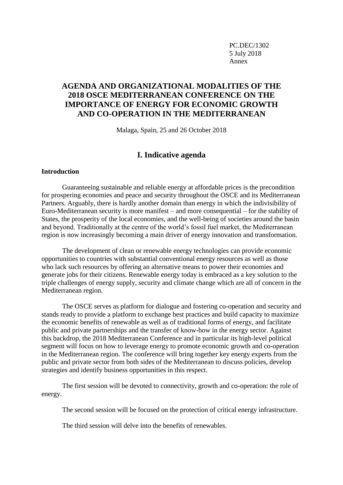PC.DEC/1302 5 July 2018 Annex

# **AGENDA AND ORGANIZATIONAL MODALITIES OF THE 2018 OSCE MEDITERRANEAN CONFERENCE ON THE IMPORTANCE OF ENERGY FOR ECONOMIC GROWTH AND CO-OPERATION IN THE MEDITERRANEAN**

Malaga, Spain, 25 and 26 October 2018

### **I. Indicative agenda**

#### **Introduction**

Guaranteeing sustainable and reliable energy at affordable prices is the precondition for prospering economies and peace and security throughout the OSCE and its Mediterranean Partners. Arguably, there is hardly another domain than energy in which the indivisibility of Euro-Mediterranean security is more manifest – and more consequential – for the stability of States, the prosperity of the local economies, and the well-being of societies around the basin and beyond. Traditionally at the centre of the world's fossil fuel market, the Mediterranean region is now increasingly becoming a main driver of energy innovation and transformation.

The development of clean or renewable energy technologies can provide economic opportunities to countries with substantial conventional energy resources as well as those who lack such resources by offering an alternative means to power their economies and generate jobs for their citizens. Renewable energy today is embraced as a key solution to the triple challenges of energy supply, security and climate change which are all of concern in the Mediterranean region.

The OSCE serves as platform for dialogue and fostering co-operation and security and stands ready to provide a platform to exchange best practices and build capacity to maximize the economic benefits of renewable as well as of traditional forms of energy, and facilitate public and private partnerships and the transfer of know-how in the energy sector. Against this backdrop, the 2018 Mediterranean Conference and in particular its high-level political segment will focus on how to leverage energy to promote economic growth and co-operation in the Mediterranean region. The conference will bring together key energy experts from the public and private sector from both sides of the Mediterranean to discuss policies, develop strategies and identify business opportunities in this respect.

The first session will be devoted to connectivity, growth and co-operation: the role of energy.

The second session will be focused on the protection of critical energy infrastructure.

The third session will delve into the benefits of renewables.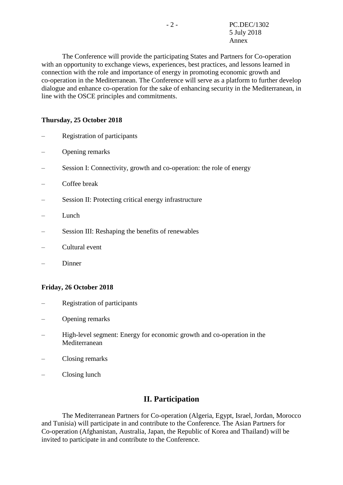The Conference will provide the participating States and Partners for Co-operation with an opportunity to exchange views, experiences, best practices, and lessons learned in connection with the role and importance of energy in promoting economic growth and co-operation in the Mediterranean. The Conference will serve as a platform to further develop dialogue and enhance co-operation for the sake of enhancing security in the Mediterranean, in line with the OSCE principles and commitments.

### **Thursday, 25 October 2018**

- Registration of participants
- Opening remarks
- Session I: Connectivity, growth and co-operation: the role of energy
- Coffee break
- Session II: Protecting critical energy infrastructure
- Lunch
- Session III: Reshaping the benefits of renewables
- Cultural event
- Dinner

### **Friday, 26 October 2018**

- Registration of participants
- Opening remarks
- High-level segment: Energy for economic growth and co-operation in the Mediterranean
- Closing remarks
- Closing lunch

### **II. Participation**

The Mediterranean Partners for Co-operation (Algeria, Egypt, Israel, Jordan, Morocco and Tunisia) will participate in and contribute to the Conference. The Asian Partners for Co-operation (Afghanistan, Australia, Japan, the Republic of Korea and Thailand) will be invited to participate in and contribute to the Conference.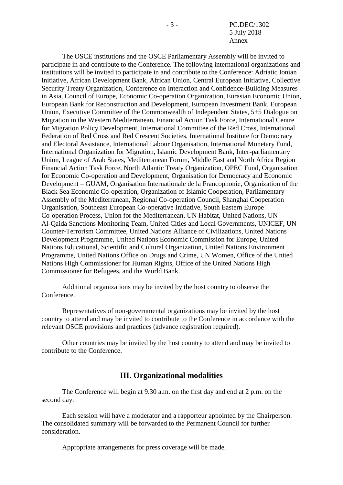- 3 - PC.DEC/1302 5 July 2018 Annex

The OSCE institutions and the OSCE Parliamentary Assembly will be invited to participate in and contribute to the Conference. The following international organizations and institutions will be invited to participate in and contribute to the Conference: Adriatic Ionian Initiative, African Development Bank, African Union, Central European Initiative, Collective Security Treaty Organization, Conference on Interaction and Confidence-Building Measures in Asia, Council of Europe, Economic Co-operation Organization, Eurasian Economic Union, European Bank for Reconstruction and Development, European Investment Bank, European Union, Executive Committee of the Commonwealth of Independent States, 5+5 Dialogue on Migration in the Western Mediterranean, Financial Action Task Force, International Centre for Migration Policy Development, International Committee of the Red Cross, International Federation of Red Cross and Red Crescent Societies, International Institute for Democracy and Electoral Assistance, International Labour Organisation, International Monetary Fund, International Organization for Migration, Islamic Development Bank, Inter-parliamentary Union, League of Arab States, Mediterranean Forum, Middle East and North Africa Region Financial Action Task Force, North Atlantic Treaty Organization, OPEC Fund, Organisation for Economic Co-operation and Development, Organisation for Democracy and Economic Development – GUAM, Organisation Internationale de la Francophonie, Organization of the Black Sea Economic Co-operation, Organization of Islamic Cooperation, Parliamentary Assembly of the Mediterranean, Regional Co-operation Council, Shanghai Cooperation Organisation, Southeast European Co-operative Initiative, South Eastern Europe Co-operation Process, Union for the Mediterranean, UN Habitat, United Nations, UN Al-Qaida Sanctions Monitoring Team, United Cities and Local Governments, UNICEF, UN Counter-Terrorism Committee, United Nations Alliance of Civilizations, United Nations Development Programme, United Nations Economic Commission for Europe, United Nations Educational, Scientific and Cultural Organization, United Nations Environment Programme, United Nations Office on Drugs and Crime, UN Women, Office of the United Nations High Commissioner for Human Rights, Office of the United Nations High Commissioner for Refugees, and the World Bank.

Additional organizations may be invited by the host country to observe the Conference.

Representatives of non-governmental organizations may be invited by the host country to attend and may be invited to contribute to the Conference in accordance with the relevant OSCE provisions and practices (advance registration required).

Other countries may be invited by the host country to attend and may be invited to contribute to the Conference.

### **III. Organizational modalities**

The Conference will begin at 9.30 a.m. on the first day and end at 2 p.m. on the second day.

Each session will have a moderator and a rapporteur appointed by the Chairperson. The consolidated summary will be forwarded to the Permanent Council for further consideration.

Appropriate arrangements for press coverage will be made.